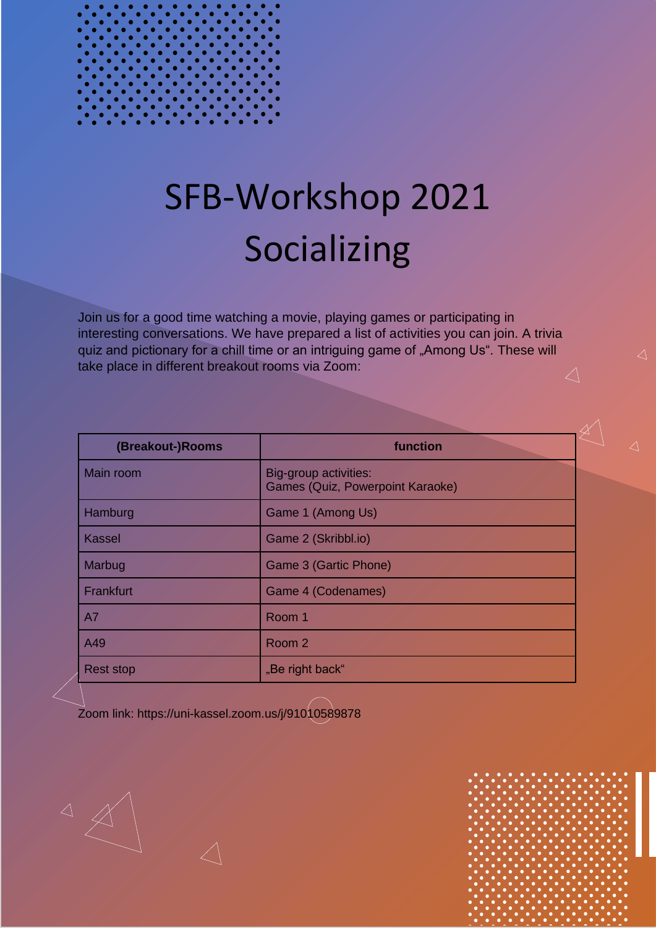# SFB-Workshop 2021 Socializing

Join us for a good time watching a movie, playing games or participating in interesting conversations. We have prepared a list of activities you can join. A trivia quiz and pictionary for a chill time or an intriguing game of "Among Us". These will take place in different breakout rooms via Zoom:  $\angle$ 

| (Breakout-)Rooms | function                                                         |  |
|------------------|------------------------------------------------------------------|--|
| Main room        | Big-group activities:<br><b>Games (Quiz, Powerpoint Karaoke)</b> |  |
| Hamburg          | Game 1 (Among Us)                                                |  |
| <b>Kassel</b>    | Game 2 (Skribbl.io)                                              |  |
| Marbug           | Game 3 (Gartic Phone)                                            |  |
| Frankfurt        | Game 4 (Codenames)                                               |  |
| A7               | Room 1                                                           |  |
| A49              | Room 2                                                           |  |
| <b>Rest stop</b> | "Be right back"                                                  |  |

Zoom link: https://uni-kassel.zoom.us/j/91010589878

 $\begin{array}{c} \triangle \end{array}$ 

 $\triangle$ 

 $\triangle$